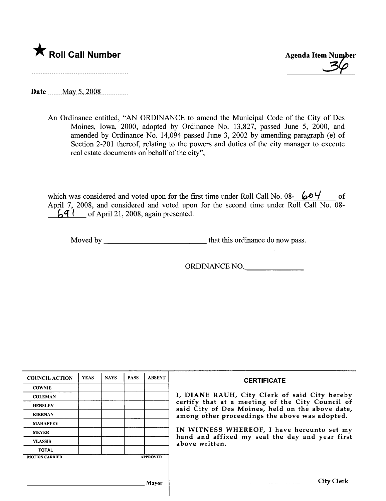

**\*** Roll Call Number Agenda Item Number<br>
36

Date  $\frac{\text{May } 5, 2008}{\text{May } 2008}$ 

An Ordinance entitled, "AN ORDINANCE to amend the Municipal Code of the City of Des Moines, Iowa, 2000, adopted by Ordinance No. 13,827, passed June 5, 2000, and amended by Ordinance No. 14,094 passed June 3, 2002 by amending paragraph (e) of Section 2-201 thereof, relating to the powers and duties of the city manager to execute real estate documents on'behalf of the city",

which was considered and voted upon for the first time under Roll Call No. 08-  $604$  of April 7, 2008, and considered and voted upon for the second time under Roll Call No. 08-  $\left\{\right\}$  ( of April 21, 2008, again presented.

Moved by that this ordinance do now pass.

ORDINANCE NO.

| <b>COUNCIL ACTION</b> | <b>YEAS</b> | <b>NAYS</b> | <b>PASS</b> | <b>ABSENT</b>   | <b>CERTIFICATE</b>                                                                                                                                                                                      |  |  |  |  |  |
|-----------------------|-------------|-------------|-------------|-----------------|---------------------------------------------------------------------------------------------------------------------------------------------------------------------------------------------------------|--|--|--|--|--|
| <b>COWNIE</b>         |             |             |             |                 |                                                                                                                                                                                                         |  |  |  |  |  |
| <b>COLEMAN</b>        |             |             |             |                 | I, DIANE RAUH, City Clerk of said City hereby<br>certify that at a meeting of the City Council of<br>said City of Des Moines, held on the above date,<br>among other proceedings the above was adopted. |  |  |  |  |  |
| <b>HENSLEY</b>        |             |             |             |                 |                                                                                                                                                                                                         |  |  |  |  |  |
| <b>KIERNAN</b>        |             |             |             |                 |                                                                                                                                                                                                         |  |  |  |  |  |
| <b>MAHAFFEY</b>       |             |             |             |                 |                                                                                                                                                                                                         |  |  |  |  |  |
| <b>MEYER</b>          |             |             |             |                 | IN WITNESS WHEREOF, I have hereunto set my                                                                                                                                                              |  |  |  |  |  |
| <b>VLASSIS</b>        |             |             |             |                 | hand and affixed my seal the day and year first<br>above written.                                                                                                                                       |  |  |  |  |  |
| <b>TOTAL</b>          |             |             |             |                 |                                                                                                                                                                                                         |  |  |  |  |  |
| <b>MOTION CARRIED</b> |             |             |             | <b>APPROVED</b> |                                                                                                                                                                                                         |  |  |  |  |  |
|                       |             |             |             |                 |                                                                                                                                                                                                         |  |  |  |  |  |
|                       |             |             |             | Mayor           | <b>City Clerk</b>                                                                                                                                                                                       |  |  |  |  |  |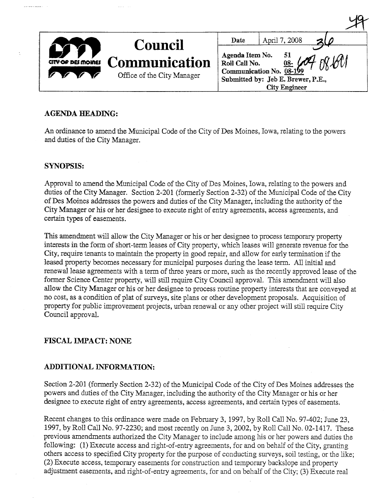|                    | <b>Council</b>                                     | Date                             | April 7, 2008                                                                                                         |  |
|--------------------|----------------------------------------------------|----------------------------------|-----------------------------------------------------------------------------------------------------------------------|--|
| CITY OF DES MOINES | <b>Communication</b><br>Office of the City Manager | Agenda Item No.<br>Roll Call No. | 51<br>IMI<br><u>08-</u> $($<br>Communication No. 08-199<br>Submitted by: Jeb E. Brewer, P.E.,<br><b>City Engineer</b> |  |

 $1dQ$ 

## AGENDA HEADING:

An ordinance to amend the Municipal Code of the City of Des Moines, Iowa, relating to the powers and duties of the City Manager.

### SYNOPSIS:

**Contract Contract** 

Approval to amend the Municipal Code of the City of Des Moines, Iowa, relating to the powers and duties of the City Manager. Section 2-201 (formerly Section 2-32) of the Municipal Code of the City of Des Moines addresses the powers and duties of the City Manager, including the authority of the City Manager or his or her designee to execute right of entry agreements, access agreements, and certain types of easements.

This amendment will allow the City Manager or his or her designee to process temporary property interests in the form of short-term leases of City property, which leases wil generate revenue for the City, require tenants to maintain the property in good repair, and allow for early termination if the leased property becomes necessary for municipal purposes during the lease term. All initial and renewal lease agreements with a term of three years or more, such as the recently approved lease of the former Science Center property, will still require City Council approval. This amendment will also alow the City Manager or his or her designee to process routine property interests that are conveyed at no cost, as a condition of plat of sureys, site plans or other development proposals. Acquisition of property for public improvement projects, urban renewal or any other project will still require City Council approval.

# FISCAL IMPACT: NONE

## ADDITIONAL INFORMATION:

Section 2-201 (formerly Section 2-32) of the Municipal Code of the City of Des Moines addresses the powers and duties of the City Manager, including the authority of the City Manager or his or her designee to execute right of entry agreements, access agreements, and certain types of easements.

Recent changes to this ordinance were made on February 3, 1997, by Roll Call No. 97-402; June 23, 1997, by Roll Call No. 97-2230; and most recently on June 3, 2002, by Roll Call No. 02-1417. These previous amendments authorized the City Manager to include among his or her powers and duties the following: (1) Execute access and right-of-entry agreements, for and on behalf of the City, granting others access to specified City property for the purose of conducting sureys, soil testing, or the like; (2) Execute access, temporary easements for construction and temporary backslope and property adjustment easements, and right-of-entry agreements, for and on behalf of the City; (3) Execute real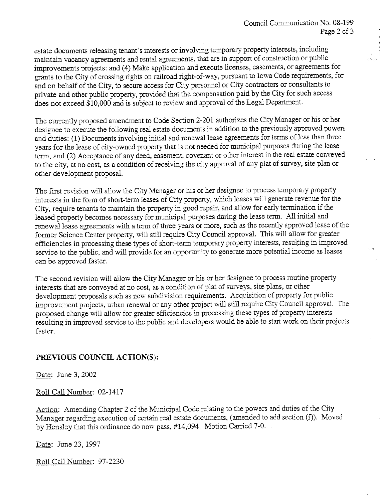22

estate documents releasing tenant's interests or involving temporary property interests, including maintain vacancy agreements and rental agreements, that are in support of construction or public improvements projects: and (4) Make application and execute licenses, easements, or agreements for grants to the City of crossing rights on railroad right-of-way, pursuant to Iowa Code requirements, for and on behalf of the City, to secure access for City personnel or City contractors or consultants to private and other public property, provided that the compensation paid by the City for such access does not exceed \$10,000 and is subject to review and approval of the Legal Department.

The currently proposed amendment to Code Section 2-201 authorizes the City Manager or his or her designee to execute the following real estate documents in addition to the previously approved powers and duties: (1) Documents involving initial and renewal lease agreements for terms of less than thee years for the lease of city-owned property that is not needed for municipal purposes during the lease term, and (2) Acceptance of any deed, easement, covenant or other interest in the real estate conveyed to the city, at no cost, as a condition of receiving the city approval of any plat of survey, site plan or other development proposal.

The first revision will allow the City Manager or his or her designee to process temporary property interests in the form of short-term leases of City property, which leases will generate revenue for the City, require tenants to maintain the property in good repair, and allow for early termination if the leased property becomes necessary for municipal purposes during the lease term. All initial and renewal lease agreements with a term of thee years or more, such as the recently approved lease of the former Science Center property, will still require City Council approval. This will allow for greater efficiencies in processing these types of short-term temporary property interests, resulting in improved service to the public, and will provide for an opportunity to generate more potential income as leases can be approved faster.

The second revision will allow the City Manager or his or her designee to process routine property interests that are conveyed at no cost, as a condition of plat of sureys, site plans, or other development proposals such as new subdivision requirements. Acquisition of property for public improvement projects, urban renewal or any other project will still require City Council approval. The proposed change will allow for greater efficiencies in processing these types of property interests resulting in improved service to the public and developers would be able to start work on their projects faster.

## PREVIOUS COUNCIL ACTION(S):

Date: June 3, 2002

Roll Call Number: 02-1417

Action: Amending Chapter 2 of the Municipal Code relating to the powers and duties of the City Manager regarding execution of certain real estate documents, (amended to add section (f)). Moved by Hensley that this ordinance do now pass, #14,094. Motion Carried 7-0.

Date: June 23, 1997

Roll Call Number: 97-2230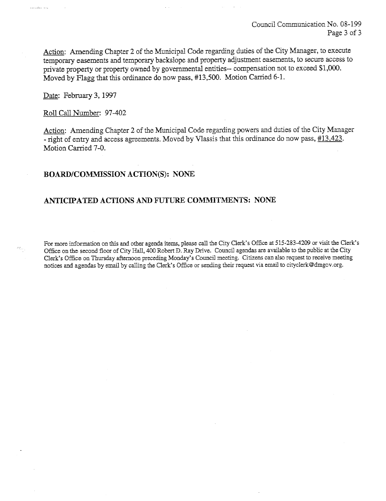Action: Amending Chapter 2 of the Municipal Code regarding duties of the City Manager, to execute temporary easements and temporary backslope and property adjustment easements, to secure access to private property or property owned by governmental entities-- compensation not to exceed \$1,000. Moved by Flagg that this ordinance do now pass, #13,500. Motion Carried 6-1.

Date: February 3, 1997

الولايا المتعامل ولادي

Roll Call Number: 97-402

Action: Amending Chapter 2 of the Municipal Code regarding powers and duties of the City Manager - right of entry and access agreements. Moved by Vlassis that this ordinance do now pass,  $\#13,423$ . Motion Carried 7-0.

### BOARD/COMMSSION ACTION(S): NONE

### ANTICIPATED ACTIONS AND FUTURE COMMITMENTS: NONE

For more information on this and other agenda items, please call the City Clerk's Office at 515-283-4209 or visit the Clerk's Office on the second floor of City Hall, 400 Robert D. Ray Drive. Council agendas are available to the public at the City Clerk's Office on Thursday afternoon preceding Monday's Council meeting. Citizens can also request to receive meeting notices and agendas by email by calling the Clerk's Office or sending their request via email to cityclerk@dmgov.org.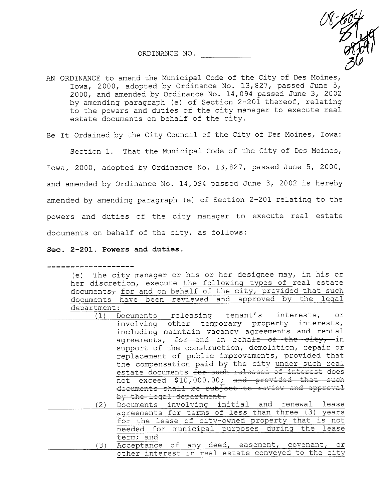ORDINANCE NO.



AN ORDINANCE to amend the Municipal Code of the City of Des Moines, Iowa, 2000, adopted by Ordinance No. 13,827, passed June 5, 2000, and amended by Ordinance No. 14,094 passed June 3, 2002 by amending paragraph (e) of Section 2-201 thereof, relating to the powers and duties of the city manager to execute real estate documents on behalf of the city.

Be It Ordained by the City Council of the City of Des Moines, Iowa:

Section 1. That the Municipal Code of the City of Des Moines, Iowa, 2000, adopted by Ordinance No. 13,827, passed June 5, 2000, and amended by Ordinance No. 14,094 passed June 3, 2002 is hereby amended by amending paragraph (e) of Section 2-201 relating to the powers and duties of the city manager to execute real estate documents on behalf of the city, as follows:

#### Sec. 2-201. Powers and duties.

(e) The city manager or his or her designee may, in his or her discretion, execute the following types of real estate  $documents<sub>τ</sub>$  for and on behalf of the city, provided that such documents have been reviewed and approved by the legal department:<br>(1) Documents releasing tenant's interests, (1) Documents releasing tenant's interests, or involving other temporary property interests, including maintain vacancy agreements and rental agreements, for and on behalf of the city, in support of the construction, demolition, repair or replacement of public improvements, provided that the compensation paid by the city under such real estate documents for such releases of interest does not exceed \$10,000.00; and provided that such documents shall be subject to review and approval by the legal department. (2) Documents involving initial and renewal lease agreements for terms of less than three (3) years for the lease of city-owned property that is not needed for municipal purposes during the lease term; and

(3) Acceptance of any deed, easement, covenant, or other interest in real estate conveyed to the city